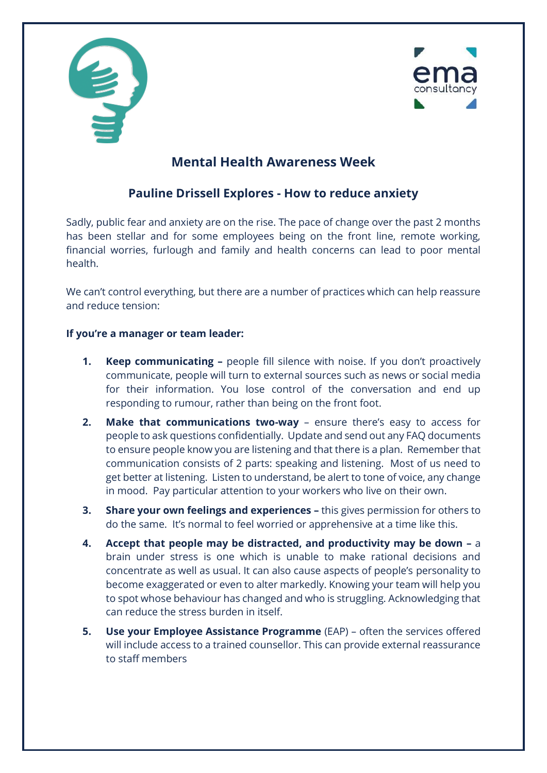



## **Mental Health Awareness Week**

## **Pauline Drissell Explores - How to reduce anxiety**

Sadly, public fear and anxiety are on the rise. The pace of change over the past 2 months has been stellar and for some employees being on the front line, remote working, financial worries, furlough and family and health concerns can lead to poor mental health.

We can't control everything, but there are a number of practices which can help reassure and reduce tension:

## **If you're a manager or team leader:**

- **1. Keep communicating –** people fill silence with noise. If you don't proactively communicate, people will turn to external sources such as news or social media for their information. You lose control of the conversation and end up responding to rumour, rather than being on the front foot.
- **2. Make that communications two-way** ensure there's easy to access for people to ask questions confidentially. Update and send out any FAQ documents to ensure people know you are listening and that there is a plan. Remember that communication consists of 2 parts: speaking and listening. Most of us need to get better at listening. Listen to understand, be alert to tone of voice, any change in mood. Pay particular attention to your workers who live on their own.
- **3. Share your own feelings and experiences –** this gives permission for others to do the same. It's normal to feel worried or apprehensive at a time like this.
- **4. Accept that people may be distracted, and productivity may be down –** a brain under stress is one which is unable to make rational decisions and concentrate as well as usual. It can also cause aspects of people's personality to become exaggerated or even to alter markedly. Knowing your team will help you to spot whose behaviour has changed and who is struggling. Acknowledging that can reduce the stress burden in itself.
- **5. Use your Employee Assistance Programme** (EAP) often the services offered will include access to a trained counsellor. This can provide external reassurance to staff members